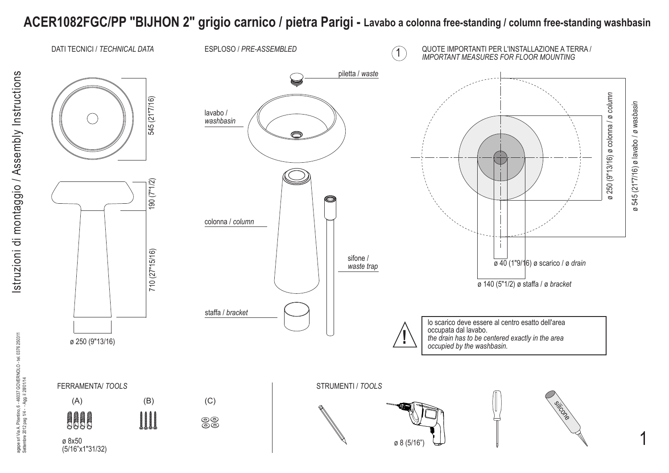## **ACER1082FGC/PP "BIJHON 2" grigio carnico / pietra Parigi - Lavabo a colonna free-standing / column free-standing washbasin**

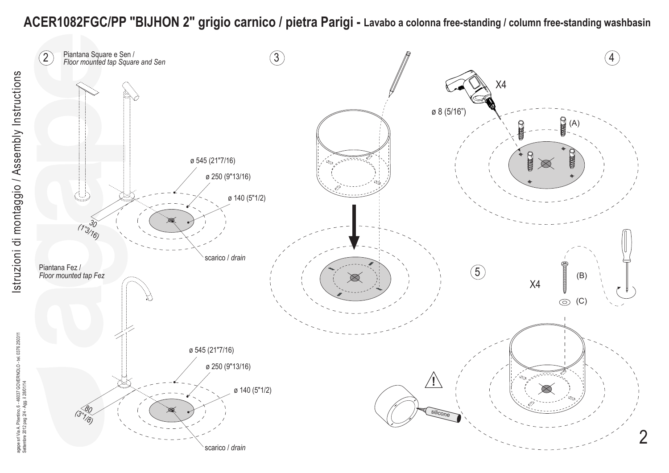## **ACER1082FGC/PP "BIJHON 2" grigio carnico / pietra Parigi - Lavabo a colonna free-standing / column free-standing washbasin**

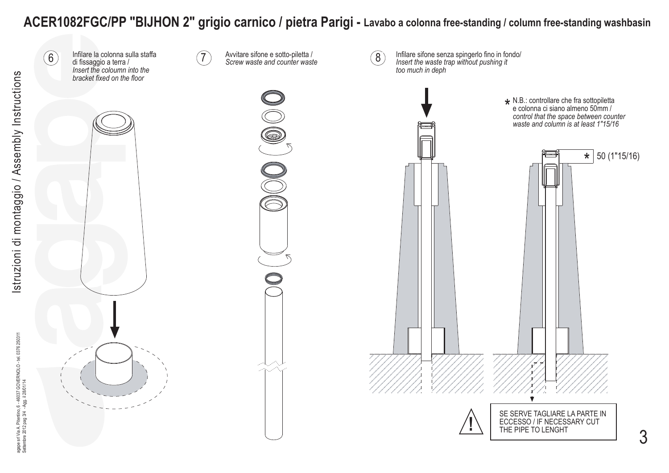## **ACER1082FGC/PP "BIJHON 2" grigio carnico / pietra Parigi - Lavabo a colonna free-standing / column free-standing washbasin**